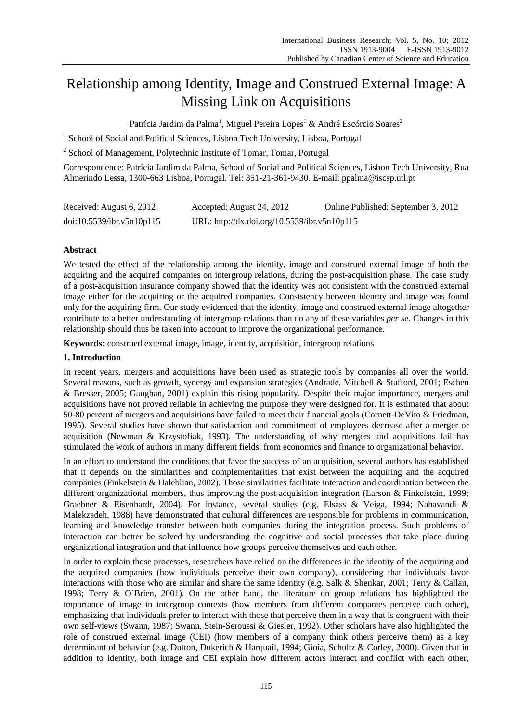# Relationship among Identity, Image and Construed External Image: A Missing Link on Acquisitions

Patrícia Jardim da Palma<sup>1</sup>, Miguel Pereira Lopes<sup>1</sup> & André Escórcio Soares<sup>2</sup>

<sup>1</sup> School of Social and Political Sciences, Lisbon Tech University, Lisboa, Portugal

<sup>2</sup> School of Management, Polytechnic Institute of Tomar, Tomar, Portugal

Correspondence: Patrícia Jardim da Palma, School of Social and Political Sciences, Lisbon Tech University, Rua Almerindo Lessa, 1300-663 Lisboa, Portugal. Tel: 351-21-361-9430. E-mail: ppalma@iscsp.utl.pt

| Received: August 6, 2012  | Accepted: August 24, 2012                    | Online Published: September 3, 2012 |
|---------------------------|----------------------------------------------|-------------------------------------|
| doi:10.5539/ibr.v5n10p115 | URL: http://dx.doi.org/10.5539/ibr.v5n10p115 |                                     |

# **Abstract**

We tested the effect of the relationship among the identity, image and construed external image of both the acquiring and the acquired companies on intergroup relations, during the post-acquisition phase. The case study of a post-acquisition insurance company showed that the identity was not consistent with the construed external image either for the acquiring or the acquired companies. Consistency between identity and image was found only for the acquiring firm. Our study evidenced that the identity, image and construed external image altogether contribute to a better understanding of intergroup relations than do any of these variables *per se*. Changes in this relationship should thus be taken into account to improve the organizational performance.

**Keywords:** construed external image, image, identity, acquisition, intergroup relations

# **1. Introduction**

In recent years, mergers and acquisitions have been used as strategic tools by companies all over the world. Several reasons, such as growth, synergy and expansion strategies (Andrade, Mitchell & Stafford, 2001; Eschen & Bresser, 2005; Gaughan, 2001) explain this rising popularity. Despite their major importance, mergers and acquisitions have not proved reliable in achieving the purpose they were designed for. It is estimated that about 50-80 percent of mergers and acquisitions have failed to meet their financial goals (Cornett-DeVito & Friedman, 1995). Several studies have shown that satisfaction and commitment of employees decrease after a merger or acquisition (Newman & Krzystofiak, 1993). The understanding of why mergers and acquisitions fail has stimulated the work of authors in many different fields, from economics and finance to organizational behavior.

In an effort to understand the conditions that favor the success of an acquisition, several authors has established that it depends on the similarities and complementarities that exist between the acquiring and the acquired companies (Finkelstein & Haleblian, 2002). Those similarities facilitate interaction and coordination between the different organizational members, thus improving the post-acquisition integration (Larson & Finkelstein, 1999; Graebner & Eisenhardt, 2004). For instance, several studies (e.g. Elsass & Veiga, 1994; Nahavandi & Malekzadeh, 1988) have demonstrated that cultural differences are responsible for problems in communication, learning and knowledge transfer between both companies during the integration process. Such problems of interaction can better be solved by understanding the cognitive and social processes that take place during organizational integration and that influence how groups perceive themselves and each other.

In order to explain those processes, researchers have relied on the differences in the identity of the acquiring and the acquired companies (how individuals perceive their own company), considering that individuals favor interactions with those who are similar and share the same identity (e.g. Salk & Shenkar, 2001; Terry & Callan, 1998; Terry & O´Brien, 2001). On the other hand, the literature on group relations has highlighted the importance of image in intergroup contexts (how members from different companies perceive each other), emphasizing that individuals prefer to interact with those that perceive them in a way that is congruent with their own self-views (Swann, 1987; Swann, Stein-Seroussi & Giesler, 1992). Other scholars have also highlighted the role of construed external image (CEI) (how members of a company think others perceive them) as a key determinant of behavior (e.g. Dutton, Dukerich & Harquail, 1994; Gioia, Schultz & Corley, 2000). Given that in addition to identity, both image and CEI explain how different actors interact and conflict with each other,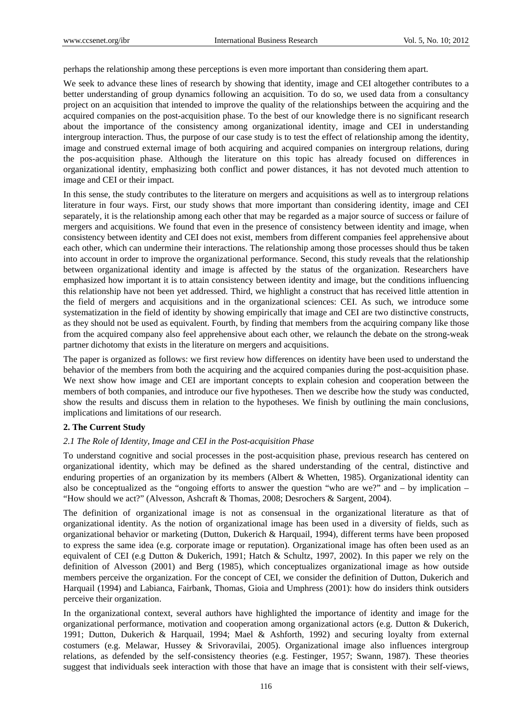perhaps the relationship among these perceptions is even more important than considering them apart.

We seek to advance these lines of research by showing that identity, image and CEI altogether contributes to a better understanding of group dynamics following an acquisition. To do so, we used data from a consultancy project on an acquisition that intended to improve the quality of the relationships between the acquiring and the acquired companies on the post-acquisition phase. To the best of our knowledge there is no significant research about the importance of the consistency among organizational identity, image and CEI in understanding intergroup interaction. Thus, the purpose of our case study is to test the effect of relationship among the identity, image and construed external image of both acquiring and acquired companies on intergroup relations, during the pos-acquisition phase. Although the literature on this topic has already focused on differences in organizational identity, emphasizing both conflict and power distances, it has not devoted much attention to image and CEI or their impact.

In this sense, the study contributes to the literature on mergers and acquisitions as well as to intergroup relations literature in four ways. First, our study shows that more important than considering identity, image and CEI separately, it is the relationship among each other that may be regarded as a major source of success or failure of mergers and acquisitions. We found that even in the presence of consistency between identity and image, when consistency between identity and CEI does not exist, members from different companies feel apprehensive about each other, which can undermine their interactions. The relationship among those processes should thus be taken into account in order to improve the organizational performance. Second, this study reveals that the relationship between organizational identity and image is affected by the status of the organization. Researchers have emphasized how important it is to attain consistency between identity and image, but the conditions influencing this relationship have not been yet addressed. Third, we highlight a construct that has received little attention in the field of mergers and acquisitions and in the organizational sciences: CEI. As such, we introduce some systematization in the field of identity by showing empirically that image and CEI are two distinctive constructs, as they should not be used as equivalent. Fourth, by finding that members from the acquiring company like those from the acquired company also feel apprehensive about each other, we relaunch the debate on the strong-weak partner dichotomy that exists in the literature on mergers and acquisitions.

The paper is organized as follows: we first review how differences on identity have been used to understand the behavior of the members from both the acquiring and the acquired companies during the post-acquisition phase. We next show how image and CEI are important concepts to explain cohesion and cooperation between the members of both companies, and introduce our five hypotheses. Then we describe how the study was conducted, show the results and discuss them in relation to the hypotheses. We finish by outlining the main conclusions, implications and limitations of our research.

# **2. The Current Study**

### *2.1 The Role of Identity, Image and CEI in the Post-acquisition Phase*

To understand cognitive and social processes in the post-acquisition phase, previous research has centered on organizational identity, which may be defined as the shared understanding of the central, distinctive and enduring properties of an organization by its members (Albert & Whetten, 1985). Organizational identity can also be conceptualized as the "ongoing efforts to answer the question "who are we?" and – by implication – "How should we act?" (Alvesson, Ashcraft & Thomas, 2008; Desrochers & Sargent, 2004).

The definition of organizational image is not as consensual in the organizational literature as that of organizational identity. As the notion of organizational image has been used in a diversity of fields, such as organizational behavior or marketing (Dutton, Dukerich & Harquail, 1994), different terms have been proposed to express the same idea (e.g. corporate image or reputation). Organizational image has often been used as an equivalent of CEI (e.g Dutton & Dukerich, 1991; Hatch & Schultz, 1997, 2002). In this paper we rely on the definition of Alvesson (2001) and Berg (1985), which conceptualizes organizational image as how outside members perceive the organization. For the concept of CEI, we consider the definition of Dutton, Dukerich and Harquail (1994) and Labianca, Fairbank, Thomas, Gioia and Umphress (2001): how do insiders think outsiders perceive their organization.

In the organizational context, several authors have highlighted the importance of identity and image for the organizational performance, motivation and cooperation among organizational actors (e.g. Dutton & Dukerich, 1991; Dutton, Dukerich & Harquail, 1994; Mael & Ashforth, 1992) and securing loyalty from external costumers (e.g. Melawar, Hussey & Srivoravilai, 2005). Organizational image also influences intergroup relations, as defended by the self-consistency theories (e.g. Festinger, 1957; Swann, 1987). These theories suggest that individuals seek interaction with those that have an image that is consistent with their self-views,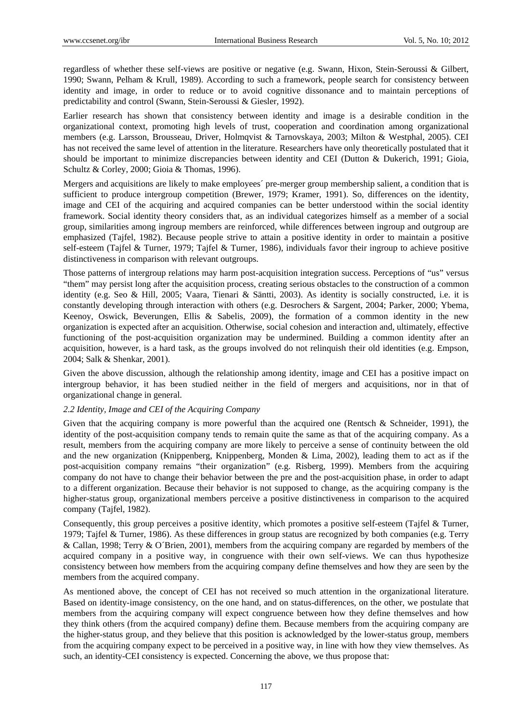regardless of whether these self-views are positive or negative (e.g. Swann, Hixon, Stein-Seroussi & Gilbert, 1990; Swann, Pelham & Krull, 1989). According to such a framework, people search for consistency between identity and image, in order to reduce or to avoid cognitive dissonance and to maintain perceptions of predictability and control (Swann, Stein-Seroussi & Giesler, 1992).

Earlier research has shown that consistency between identity and image is a desirable condition in the organizational context, promoting high levels of trust, cooperation and coordination among organizational members (e.g. Larsson, Brousseau, Driver, Holmqvist & Tarnovskaya, 2003; Milton & Westphal, 2005). CEI has not received the same level of attention in the literature. Researchers have only theoretically postulated that it should be important to minimize discrepancies between identity and CEI (Dutton & Dukerich, 1991; Gioia, Schultz & Corley, 2000; Gioia & Thomas, 1996).

Mergers and acquisitions are likely to make employees´ pre-merger group membership salient, a condition that is sufficient to produce intergroup competition (Brewer, 1979; Kramer, 1991). So, differences on the identity, image and CEI of the acquiring and acquired companies can be better understood within the social identity framework. Social identity theory considers that, as an individual categorizes himself as a member of a social group, similarities among ingroup members are reinforced, while differences between ingroup and outgroup are emphasized (Tajfel, 1982). Because people strive to attain a positive identity in order to maintain a positive self-esteem (Tajfel & Turner, 1979; Tajfel & Turner, 1986), individuals favor their ingroup to achieve positive distinctiveness in comparison with relevant outgroups.

Those patterns of intergroup relations may harm post-acquisition integration success. Perceptions of "us" versus "them" may persist long after the acquisition process, creating serious obstacles to the construction of a common identity (e.g. Seo & Hill, 2005; Vaara, Tienari & Säntti, 2003). As identity is socially constructed, i.e. it is constantly developing through interaction with others (e.g. Desrochers & Sargent, 2004; Parker, 2000; Ybema, Keenoy, Oswick, Beverungen, Ellis & Sabelis, 2009), the formation of a common identity in the new organization is expected after an acquisition. Otherwise, social cohesion and interaction and, ultimately, effective functioning of the post-acquisition organization may be undermined. Building a common identity after an acquisition, however, is a hard task, as the groups involved do not relinquish their old identities (e.g. Empson, 2004; Salk & Shenkar, 2001).

Given the above discussion, although the relationship among identity, image and CEI has a positive impact on intergroup behavior, it has been studied neither in the field of mergers and acquisitions, nor in that of organizational change in general.

# *2.2 Identity, Image and CEI of the Acquiring Company*

Given that the acquiring company is more powerful than the acquired one (Rentsch & Schneider, 1991), the identity of the post-acquisition company tends to remain quite the same as that of the acquiring company. As a result, members from the acquiring company are more likely to perceive a sense of continuity between the old and the new organization (Knippenberg, Knippenberg, Monden & Lima, 2002), leading them to act as if the post-acquisition company remains "their organization" (e.g. Risberg, 1999). Members from the acquiring company do not have to change their behavior between the pre and the post-acquisition phase, in order to adapt to a different organization. Because their behavior is not supposed to change, as the acquiring company is the higher-status group, organizational members perceive a positive distinctiveness in comparison to the acquired company (Tajfel, 1982).

Consequently, this group perceives a positive identity, which promotes a positive self-esteem (Tajfel & Turner, 1979; Tajfel & Turner, 1986). As these differences in group status are recognized by both companies (e.g. Terry & Callan, 1998; Terry & O´Brien, 2001), members from the acquiring company are regarded by members of the acquired company in a positive way, in congruence with their own self-views. We can thus hypothesize consistency between how members from the acquiring company define themselves and how they are seen by the members from the acquired company.

As mentioned above, the concept of CEI has not received so much attention in the organizational literature. Based on identity-image consistency, on the one hand, and on status-differences, on the other, we postulate that members from the acquiring company will expect congruence between how they define themselves and how they think others (from the acquired company) define them. Because members from the acquiring company are the higher-status group, and they believe that this position is acknowledged by the lower-status group, members from the acquiring company expect to be perceived in a positive way, in line with how they view themselves. As such, an identity-CEI consistency is expected. Concerning the above, we thus propose that: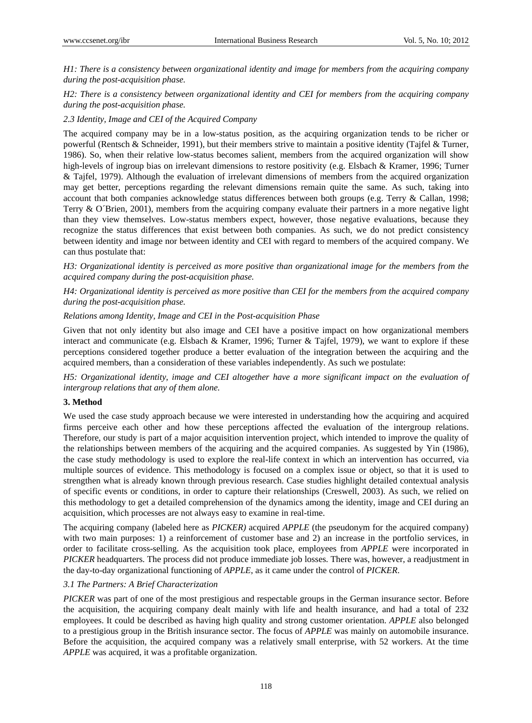*H1: There is a consistency between organizational identity and image for members from the acquiring company during the post-acquisition phase.* 

# *H2: There is a consistency between organizational identity and CEI for members from the acquiring company during the post-acquisition phase.*

# *2.3 Identity, Image and CEI of the Acquired Company*

The acquired company may be in a low-status position, as the acquiring organization tends to be richer or powerful (Rentsch & Schneider, 1991), but their members strive to maintain a positive identity (Tajfel & Turner, 1986). So, when their relative low-status becomes salient, members from the acquired organization will show high-levels of ingroup bias on irrelevant dimensions to restore positivity (e.g. Elsbach & Kramer, 1996; Turner & Tajfel, 1979). Although the evaluation of irrelevant dimensions of members from the acquired organization may get better, perceptions regarding the relevant dimensions remain quite the same. As such, taking into account that both companies acknowledge status differences between both groups (e.g. Terry & Callan, 1998; Terry & O´Brien, 2001), members from the acquiring company evaluate their partners in a more negative light than they view themselves. Low-status members expect, however, those negative evaluations, because they recognize the status differences that exist between both companies. As such, we do not predict consistency between identity and image nor between identity and CEI with regard to members of the acquired company. We can thus postulate that:

*H3: Organizational identity is perceived as more positive than organizational image for the members from the acquired company during the post-acquisition phase.* 

*H4: Organizational identity is perceived as more positive than CEI for the members from the acquired company during the post-acquisition phase.* 

# *Relations among Identity, Image and CEI in the Post-acquisition Phase*

Given that not only identity but also image and CEI have a positive impact on how organizational members interact and communicate (e.g. Elsbach & Kramer, 1996; Turner & Tajfel, 1979), we want to explore if these perceptions considered together produce a better evaluation of the integration between the acquiring and the acquired members, than a consideration of these variables independently. As such we postulate:

*H5: Organizational identity, image and CEI altogether have a more significant impact on the evaluation of intergroup relations that any of them alone.* 

# **3. Method**

We used the case study approach because we were interested in understanding how the acquiring and acquired firms perceive each other and how these perceptions affected the evaluation of the intergroup relations. Therefore, our study is part of a major acquisition intervention project, which intended to improve the quality of the relationships between members of the acquiring and the acquired companies. As suggested by Yin (1986), the case study methodology is used to explore the real-life context in which an intervention has occurred, via multiple sources of evidence. This methodology is focused on a complex issue or object, so that it is used to strengthen what is already known through previous research. Case studies highlight detailed contextual analysis of specific events or conditions, in order to capture their relationships (Creswell, 2003). As such, we relied on this methodology to get a detailed comprehension of the dynamics among the identity, image and CEI during an acquisition, which processes are not always easy to examine in real-time.

The acquiring company (labeled here as *PICKER)* acquired *APPLE* (the pseudonym for the acquired company) with two main purposes: 1) a reinforcement of customer base and 2) an increase in the portfolio services, in order to facilitate cross-selling. As the acquisition took place, employees from *APPLE* were incorporated in *PICKER* headquarters. The process did not produce immediate job losses. There was, however, a readjustment in the day-to-day organizational functioning of *APPLE*, as it came under the control of *PICKER*.

### *3.1 The Partners: A Brief Characterization*

*PICKER* was part of one of the most prestigious and respectable groups in the German insurance sector. Before the acquisition, the acquiring company dealt mainly with life and health insurance, and had a total of 232 employees. It could be described as having high quality and strong customer orientation. *APPLE* also belonged to a prestigious group in the British insurance sector. The focus of *APPLE* was mainly on automobile insurance. Before the acquisition, the acquired company was a relatively small enterprise, with 52 workers. At the time *APPLE* was acquired, it was a profitable organization.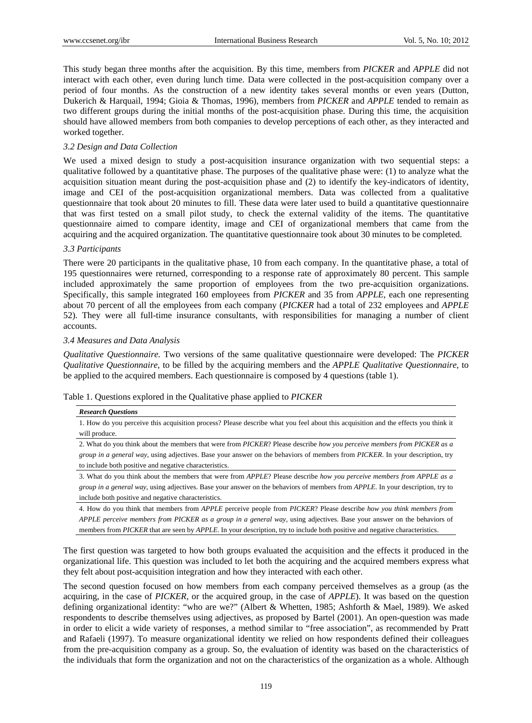This study began three months after the acquisition. By this time, members from *PICKER* and *APPLE* did not interact with each other, even during lunch time. Data were collected in the post-acquisition company over a period of four months. As the construction of a new identity takes several months or even years (Dutton, Dukerich & Harquail, 1994; Gioia & Thomas, 1996), members from *PICKER* and *APPLE* tended to remain as two different groups during the initial months of the post-acquisition phase. During this time, the acquisition should have allowed members from both companies to develop perceptions of each other, as they interacted and worked together.

# *3.2 Design and Data Collection*

We used a mixed design to study a post-acquisition insurance organization with two sequential steps: a qualitative followed by a quantitative phase. The purposes of the qualitative phase were: (1) to analyze what the acquisition situation meant during the post-acquisition phase and (2) to identify the key-indicators of identity, image and CEI of the post-acquisition organizational members. Data was collected from a qualitative questionnaire that took about 20 minutes to fill. These data were later used to build a quantitative questionnaire that was first tested on a small pilot study, to check the external validity of the items. The quantitative questionnaire aimed to compare identity, image and CEI of organizational members that came from the acquiring and the acquired organization. The quantitative questionnaire took about 30 minutes to be completed.

### *3.3 Participants*

There were 20 participants in the qualitative phase, 10 from each company. In the quantitative phase, a total of 195 questionnaires were returned, corresponding to a response rate of approximately 80 percent. This sample included approximately the same proportion of employees from the two pre-acquisition organizations. Specifically, this sample integrated 160 employees from *PICKER* and 35 from *APPLE*, each one representing about 70 percent of all the employees from each company (*PICKER* had a total of 232 employees and *APPLE*  52). They were all full-time insurance consultants, with responsibilities for managing a number of client accounts.

### *3.4 Measures and Data Analysis*

*Qualitative Questionnaire.* Two versions of the same qualitative questionnaire were developed: The *PICKER Qualitative Questionnaire*, to be filled by the acquiring members and the *APPLE Qualitative Questionnaire*, to be applied to the acquired members. Each questionnaire is composed by 4 questions (table 1).

| Table 1. Questions explored in the Qualitative phase applied to PICKER |  |  |  |  |
|------------------------------------------------------------------------|--|--|--|--|
|                                                                        |  |  |  |  |

#### *Research Questions*

1. How do you perceive this acquisition process? Please describe what you feel about this acquisition and the effects you think it will produce.

2. What do you think about the members that were from *PICKER*? Please describe *how you perceive members from PICKER as a group in a general way*, using adjectives. Base your answer on the behaviors of members from *PICKER*. In your description, try to include both positive and negative characteristics.

3. What do you think about the members that were from *APPLE*? Please describe *how you perceive members from APPLE as a group in a general way*, using adjectives. Base your answer on the behaviors of members from *APPLE*. In your description, try to include both positive and negative characteristics.

4. How do you think that members from *APPLE* perceive people from *PICKER*? Please describe *how you think members from APPLE perceive members from PICKER as a group in a general way*, using adjectives. Base your answer on the behaviors of members from *PICKER* that are seen by *APPLE*. In your description, try to include both positive and negative characteristics.

The first question was targeted to how both groups evaluated the acquisition and the effects it produced in the organizational life. This question was included to let both the acquiring and the acquired members express what they felt about post-acquisition integration and how they interacted with each other.

The second question focused on how members from each company perceived themselves as a group (as the acquiring, in the case of *PICKER*, or the acquired group, in the case of *APPLE*). It was based on the question defining organizational identity: "who are we?" (Albert & Whetten, 1985; Ashforth & Mael, 1989). We asked respondents to describe themselves using adjectives, as proposed by Bartel (2001). An open-question was made in order to elicit a wide variety of responses, a method similar to "free association", as recommended by Pratt and Rafaeli (1997). To measure organizational identity we relied on how respondents defined their colleagues from the pre-acquisition company as a group. So, the evaluation of identity was based on the characteristics of the individuals that form the organization and not on the characteristics of the organization as a whole. Although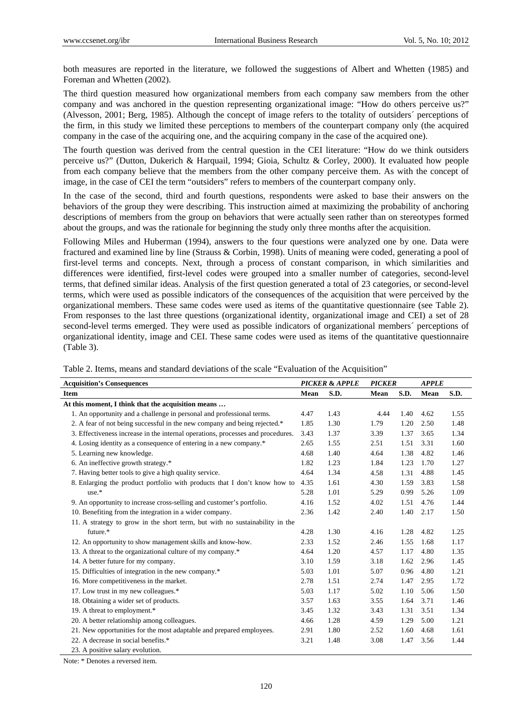both measures are reported in the literature, we followed the suggestions of Albert and Whetten (1985) and Foreman and Whetten (2002).

The third question measured how organizational members from each company saw members from the other company and was anchored in the question representing organizational image: "How do others perceive us?" (Alvesson, 2001; Berg, 1985). Although the concept of image refers to the totality of outsiders´ perceptions of the firm, in this study we limited these perceptions to members of the counterpart company only (the acquired company in the case of the acquiring one, and the acquiring company in the case of the acquired one).

The fourth question was derived from the central question in the CEI literature: "How do we think outsiders perceive us?" (Dutton, Dukerich & Harquail, 1994; Gioia, Schultz & Corley, 2000). It evaluated how people from each company believe that the members from the other company perceive them. As with the concept of image, in the case of CEI the term "outsiders" refers to members of the counterpart company only.

In the case of the second, third and fourth questions, respondents were asked to base their answers on the behaviors of the group they were describing. This instruction aimed at maximizing the probability of anchoring descriptions of members from the group on behaviors that were actually seen rather than on stereotypes formed about the groups, and was the rationale for beginning the study only three months after the acquisition.

Following Miles and Huberman (1994), answers to the four questions were analyzed one by one. Data were fractured and examined line by line (Strauss & Corbin, 1998). Units of meaning were coded, generating a pool of first-level terms and concepts. Next, through a process of constant comparison, in which similarities and differences were identified, first-level codes were grouped into a smaller number of categories, second-level terms, that defined similar ideas. Analysis of the first question generated a total of 23 categories, or second-level terms, which were used as possible indicators of the consequences of the acquisition that were perceived by the organizational members. These same codes were used as items of the quantitative questionnaire (see Table 2). From responses to the last three questions (organizational identity, organizational image and CEI) a set of 28 second-level terms emerged. They were used as possible indicators of organizational members´ perceptions of organizational identity, image and CEI. These same codes were used as items of the quantitative questionnaire (Table 3).

| <b>Acquisition's Consequences</b>                                               |      | <b>PICKER &amp; APPLE</b> | <b>PICKER</b> |      | <b>APPLE</b> |      |
|---------------------------------------------------------------------------------|------|---------------------------|---------------|------|--------------|------|
| <b>Item</b>                                                                     | Mean | S.D.                      | Mean          | S.D. | Mean         | S.D. |
| At this moment, I think that the acquisition means                              |      |                           |               |      |              |      |
| 1. An opportunity and a challenge in personal and professional terms.           | 4.47 | 1.43                      | 4.44          | 1.40 | 4.62         | 1.55 |
| 2. A fear of not being successful in the new company and being rejected.*       | 1.85 | 1.30                      | 1.79          | 1.20 | 2.50         | 1.48 |
| 3. Effectiveness increase in the internal operations, processes and procedures. | 3.43 | 1.37                      | 3.39          | 1.37 | 3.65         | 1.34 |
| 4. Losing identity as a consequence of entering in a new company.*              | 2.65 | 1.55                      | 2.51          | 1.51 | 3.31         | 1.60 |
| 5. Learning new knowledge.                                                      | 4.68 | 1.40                      | 4.64          | 1.38 | 4.82         | 1.46 |
| 6. An ineffective growth strategy.*                                             | 1.82 | 1.23                      | 1.84          | 1.23 | 1.70         | 1.27 |
| 7. Having better tools to give a high quality service.                          | 4.64 | 1.34                      | 4.58          | 1.31 | 4.88         | 1.45 |
| 8. Enlarging the product portfolio with products that I don't know how to       | 4.35 | 1.61                      | 4.30          | 1.59 | 3.83         | 1.58 |
| $use.*$                                                                         | 5.28 | 1.01                      | 5.29          | 0.99 | 5.26         | 1.09 |
| 9. An opportunity to increase cross-selling and customer's portfolio.           | 4.16 | 1.52                      | 4.02          | 1.51 | 4.76         | 1.44 |
| 10. Benefiting from the integration in a wider company.                         | 2.36 | 1.42                      | 2.40          | 1.40 | 2.17         | 1.50 |
| 11. A strategy to grow in the short term, but with no sustainability in the     |      |                           |               |      |              |      |
| future.*                                                                        | 4.28 | 1.30                      | 4.16          | 1.28 | 4.82         | 1.25 |
| 12. An opportunity to show management skills and know-how.                      | 2.33 | 1.52                      | 2.46          | 1.55 | 1.68         | 1.17 |
| 13. A threat to the organizational culture of my company.*                      | 4.64 | 1.20                      | 4.57          | 1.17 | 4.80         | 1.35 |
| 14. A better future for my company.                                             | 3.10 | 1.59                      | 3.18          | 1.62 | 2.96         | 1.45 |
| 15. Difficulties of integration in the new company.*                            | 5.03 | 1.01                      | 5.07          | 0.96 | 4.80         | 1.21 |
| 16. More competitiveness in the market.                                         | 2.78 | 1.51                      | 2.74          | 1.47 | 2.95         | 1.72 |
| 17. Low trust in my new colleagues.*                                            | 5.03 | 1.17                      | 5.02          | 1.10 | 5.06         | 1.50 |
| 18. Obtaining a wider set of products.                                          | 3.57 | 1.63                      | 3.55          | 1.64 | 3.71         | 1.46 |
| 19. A threat to employment.*                                                    | 3.45 | 1.32                      | 3.43          | 1.31 | 3.51         | 1.34 |
| 20. A better relationship among colleagues.                                     | 4.66 | 1.28                      | 4.59          | 1.29 | 5.00         | 1.21 |
| 21. New opportunities for the most adaptable and prepared employees.            | 2.91 | 1.80                      | 2.52          | 1.60 | 4.68         | 1.61 |
| 22. A decrease in social benefits.*                                             | 3.21 | 1.48                      | 3.08          | 1.47 | 3.56         | 1.44 |
| 23. A positive salary evolution.                                                |      |                           |               |      |              |      |

Table 2. Items, means and standard deviations of the scale "Evaluation of the Acquisition"

Note: \* Denotes a reversed item.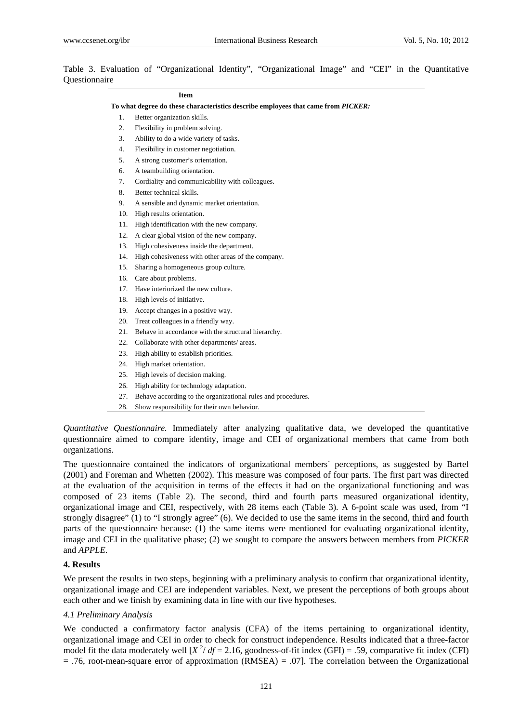|     | <b>Item</b>                                                                       |
|-----|-----------------------------------------------------------------------------------|
|     | To what degree do these characteristics describe employees that came from PICKER: |
| 1.  | Better organization skills.                                                       |
| 2.  | Flexibility in problem solving.                                                   |
| 3.  | Ability to do a wide variety of tasks.                                            |
| 4.  | Flexibility in customer negotiation.                                              |
| 5.  | A strong customer's orientation.                                                  |
| 6.  | A teambuilding orientation.                                                       |
| 7.  | Cordiality and communicability with colleagues.                                   |
| 8.  | Better technical skills.                                                          |
| 9.  | A sensible and dynamic market orientation.                                        |
| 10. | High results orientation.                                                         |
| 11. | High identification with the new company.                                         |
| 12. | A clear global vision of the new company.                                         |
| 13. | High cohesiveness inside the department.                                          |
| 14. | High cohesiveness with other areas of the company.                                |
| 15. | Sharing a homogeneous group culture.                                              |
| 16. | Care about problems.                                                              |
| 17. | Have interiorized the new culture.                                                |
| 18. | High levels of initiative.                                                        |
| 19. | Accept changes in a positive way.                                                 |
| 20. | Treat colleagues in a friendly way.                                               |
| 21. | Behave in accordance with the structural hierarchy.                               |
| 22. | Collaborate with other departments/ areas.                                        |
| 23. | High ability to establish priorities.                                             |
| 24. | High market orientation.                                                          |
| 25. | High levels of decision making.                                                   |
| 26. | High ability for technology adaptation.                                           |
| 27. | Behave according to the organizational rules and procedures.                      |
| 28. | Show responsibility for their own behavior.                                       |

|               |  | Table 3. Evaluation of "Organizational Identity", "Organizational Image" and "CEI" in the Quantitative |  |  |  |  |
|---------------|--|--------------------------------------------------------------------------------------------------------|--|--|--|--|
| Questionnaire |  |                                                                                                        |  |  |  |  |

*Quantitative Questionnaire.* Immediately after analyzing qualitative data, we developed the quantitative questionnaire aimed to compare identity, image and CEI of organizational members that came from both organizations.

The questionnaire contained the indicators of organizational members´ perceptions, as suggested by Bartel (2001) and Foreman and Whetten (2002). This measure was composed of four parts. The first part was directed at the evaluation of the acquisition in terms of the effects it had on the organizational functioning and was composed of 23 items (Table 2). The second, third and fourth parts measured organizational identity, organizational image and CEI, respectively, with 28 items each (Table 3). A 6-point scale was used, from "I strongly disagree" (1) to "I strongly agree" (6). We decided to use the same items in the second, third and fourth parts of the questionnaire because: (1) the same items were mentioned for evaluating organizational identity, image and CEI in the qualitative phase; (2) we sought to compare the answers between members from *PICKER* and *APPLE*.

### **4. Results**

We present the results in two steps, beginning with a preliminary analysis to confirm that organizational identity, organizational image and CEI are independent variables. Next, we present the perceptions of both groups about each other and we finish by examining data in line with our five hypotheses.

### *4.1 Preliminary Analysis*

We conducted a confirmatory factor analysis (CFA) of the items pertaining to organizational identity, organizational image and CEI in order to check for construct independence. Results indicated that a three-factor model fit the data moderately well  $[X^2/df = 2.16$ , goodness-of-fit index (GFI) = .59, comparative fit index (CFI) = .76, root-mean-square error of approximation (RMSEA) = .07]. The correlation between the Organizational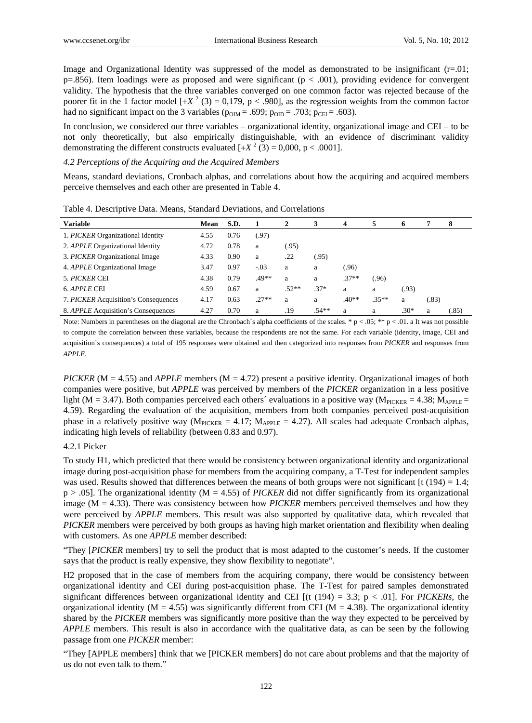Image and Organizational Identity was suppressed of the model as demonstrated to be insignificant (r=.01;  $p=856$ ). Item loadings were as proposed and were significant ( $p < .001$ ), providing evidence for convergent validity. The hypothesis that the three variables converged on one common factor was rejected because of the poorer fit in the 1 factor model  $[+X^2(3) = 0,179, p < .980]$ , as the regression weights from the common factor had no significant impact on the 3 variables ( $p_{OM} = .699$ ;  $p_{OD} = .703$ ;  $p_{CEI} = .603$ ).

In conclusion, we considered our three variables – organizational identity, organizational image and CEI – to be not only theoretically, but also empirically distinguishable, with an evidence of discriminant validity demonstrating the different constructs evaluated  $[+X^2(3) = 0,000, p < .0001]$ .

# *4.2 Perceptions of the Acquiring and the Acquired Members*

Means, standard deviations, Cronbach alphas, and correlations about how the acquiring and acquired members perceive themselves and each other are presented in Table 4.

| <b>Variable</b>                         | Mean | S.D. |         | 2       | 3       | 4       | 5       | $\mathbf o$ |       | 8     |
|-----------------------------------------|------|------|---------|---------|---------|---------|---------|-------------|-------|-------|
| 1. PICKER Organizational Identity       | 4.55 | 0.76 | (.97)   |         |         |         |         |             |       |       |
| 2. <i>APPLE</i> Organizational Identity | 4.72 | 0.78 | a       | (.95)   |         |         |         |             |       |       |
| 3. PICKER Organizational Image          | 4.33 | 0.90 | a       | .22     | (.95)   |         |         |             |       |       |
| 4. <i>APPLE</i> Organizational Image    | 3.47 | 0.97 | $-.03$  | a       | a       | (0.96)  |         |             |       |       |
| 5. PICKER CEI                           | 4.38 | 0.79 | .49**   | a       | a       | $.37**$ | (.96    |             |       |       |
| 6. APPLE CEI                            | 4.59 | 0.67 | a       | $.52**$ | $.37*$  | a       | a       | (93)        |       |       |
| 7. PICKER Acquisition's Consequences    | 4.17 | 0.63 | $.27**$ | a       | a       | $.40**$ | $.35**$ | a           | (.83) |       |
| 8. APPLE Acquisition's Consequences     | 4.27 | 0.70 | a       | .19     | $.54**$ | a       | a       | $.30*$      | a     | (.85) |

Table 4. Descriptive Data. Means, Standard Deviations, and Correlations

Note: Numbers in parentheses on the diagonal are the Chronbach´s alpha coefficients of the scales. \*  $p < .05$ ; \*\*  $p < .01$ . a It was not possible to compute the correlation between these variables, because the respondents are not the same. For each variable (identity, image, CEI and acquisition's consequences) a total of 195 responses were obtained and then categorized into responses from *PICKER* and responses from *APPLE*.

*PICKER* (M = 4.55) and *APPLE* members (M = 4.72) present a positive identity. Organizational images of both companies were positive, but *APPLE* was perceived by members of the *PICKER* organization in a less positive light (M = 3.47). Both companies perceived each others' evaluations in a positive way ( $M_{\text{PICKER}} = 4.38$ ;  $M_{\text{APPLE}} =$ 4.59). Regarding the evaluation of the acquisition, members from both companies perceived post-acquisition phase in a relatively positive way ( $M_{\text{PICKER}} = 4.17$ ;  $M_{\text{APPLE}} = 4.27$ ). All scales had adequate Cronbach alphas, indicating high levels of reliability (between 0.83 and 0.97).

### 4.2.1 Picker

To study H1, which predicted that there would be consistency between organizational identity and organizational image during post-acquisition phase for members from the acquiring company, a T-Test for independent samples was used. Results showed that differences between the means of both groups were not significant  $[t(194) = 1.4$ ; p > .05]. The organizational identity (M = 4.55) of *PICKER* did not differ significantly from its organizational image (M = 4.33). There was consistency between how *PICKER* members perceived themselves and how they were perceived by *APPLE* members. This result was also supported by qualitative data, which revealed that *PICKER* members were perceived by both groups as having high market orientation and flexibility when dealing with customers. As one *APPLE* member described:

"They [*PICKER* members] try to sell the product that is most adapted to the customer's needs. If the customer says that the product is really expensive, they show flexibility to negotiate".

H2 proposed that in the case of members from the acquiring company, there would be consistency between organizational identity and CEI during post-acquisition phase. The T-Test for paired samples demonstrated significant differences between organizational identity and CEI  $[(t (194) = 3.3; p < .01]$ . For *PICKERs*, the organizational identity ( $M = 4.55$ ) was significantly different from CEI ( $M = 4.38$ ). The organizational identity shared by the *PICKER* members was significantly more positive than the way they expected to be perceived by *APPLE* members. This result is also in accordance with the qualitative data, as can be seen by the following passage from one *PICKER* member:

"They [APPLE members] think that we [PICKER members] do not care about problems and that the majority of us do not even talk to them."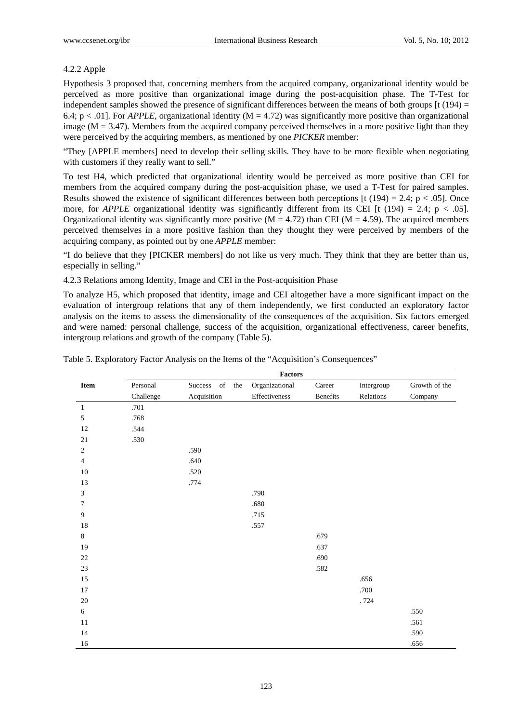# 4.2.2 Apple

Hypothesis 3 proposed that, concerning members from the acquired company, organizational identity would be perceived as more positive than organizational image during the post-acquisition phase. The T-Test for independent samples showed the presence of significant differences between the means of both groups  $[t(194) =$ 6.4;  $p < .01$ ]. For *APPLE*, organizational identity ( $M = 4.72$ ) was significantly more positive than organizational image ( $M = 3.47$ ). Members from the acquired company perceived themselves in a more positive light than they were perceived by the acquiring members, as mentioned by one *PICKER* member:

"They [APPLE members] need to develop their selling skills. They have to be more flexible when negotiating with customers if they really want to sell."

To test H4, which predicted that organizational identity would be perceived as more positive than CEI for members from the acquired company during the post-acquisition phase, we used a T-Test for paired samples. Results showed the existence of significant differences between both perceptions  $\lceil t (194) = 2.4$ ;  $p < .05$ ]. Once more, for *APPLE* organizational identity was significantly different from its CEI [t (194) = 2.4; p < .05]. Organizational identity was significantly more positive  $(M = 4.72)$  than CEI  $(M = 4.59)$ . The acquired members perceived themselves in a more positive fashion than they thought they were perceived by members of the acquiring company, as pointed out by one *APPLE* member:

"I do believe that they [PICKER members] do not like us very much. They think that they are better than us, especially in selling."

4.2.3 Relations among Identity, Image and CEI in the Post-acquisition Phase

To analyze H5, which proposed that identity, image and CEI altogether have a more significant impact on the evaluation of intergroup relations that any of them independently, we first conducted an exploratory factor analysis on the items to assess the dimensionality of the consequences of the acquisition. Six factors emerged and were named: personal challenge, success of the acquisition, organizational effectiveness, career benefits, intergroup relations and growth of the company (Table 5).

|                |           |                | <b>Factors</b> |          |            |               |
|----------------|-----------|----------------|----------------|----------|------------|---------------|
| Item           | Personal  | Success of the | Organizational | Career   | Intergroup | Growth of the |
|                | Challenge | Acquisition    | Effectiveness  | Benefits | Relations  | Company       |
| $\mathbf{1}$   | .701      |                |                |          |            |               |
| 5              | .768      |                |                |          |            |               |
| $12\,$         | .544      |                |                |          |            |               |
| $21\,$         | .530      |                |                |          |            |               |
| 2              |           | .590           |                |          |            |               |
| $\overline{4}$ |           | .640           |                |          |            |               |
| $10\,$         |           | .520           |                |          |            |               |
| 13             |           | .774           |                |          |            |               |
| 3              |           |                | .790           |          |            |               |
| 7              |           |                | .680           |          |            |               |
| 9              |           |                | .715           |          |            |               |
| $18\,$         |           |                | .557           |          |            |               |
| 8              |           |                |                | .679     |            |               |
| 19             |           |                |                | .637     |            |               |
| $22\,$         |           |                |                | .690     |            |               |
| 23             |           |                |                | .582     |            |               |
| $15\,$         |           |                |                |          | .656       |               |
| $17\,$         |           |                |                |          | .700       |               |
| $20\,$         |           |                |                |          | .724       |               |
| 6              |           |                |                |          |            | .550          |
| $11\,$         |           |                |                |          |            | .561          |
| 14             |           |                |                |          |            | .590          |
| 16             |           |                |                |          |            | .656          |

Table 5. Exploratory Factor Analysis on the Items of the "Acquisition's Consequences"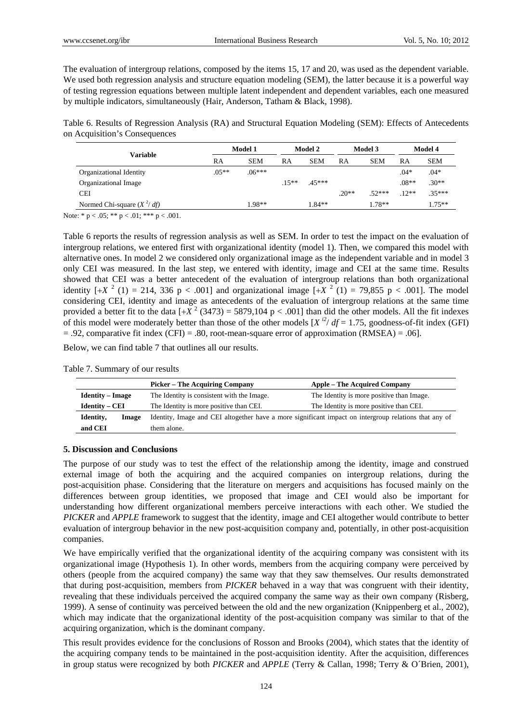The evaluation of intergroup relations, composed by the items 15, 17 and 20, was used as the dependent variable. We used both regression analysis and structure equation modeling (SEM), the latter because it is a powerful way of testing regression equations between multiple latent independent and dependent variables, each one measured by multiple indicators, simultaneously (Hair, Anderson, Tatham & Black, 1998).

Table 6. Results of Regression Analysis (RA) and Structural Equation Modeling (SEM): Effects of Antecedents on Acquisition's Consequences

|                              |         | Model 1    |          | Model 2    |         | Model 3    |         | Model 4    |  |
|------------------------------|---------|------------|----------|------------|---------|------------|---------|------------|--|
| Variable                     | RA      | <b>SEM</b> | RA       | <b>SEM</b> | RA      | <b>SEM</b> | RA      | <b>SEM</b> |  |
| Organizational Identity      | $.05**$ | $.06***$   |          |            |         |            | $.04*$  | $.04*$     |  |
| Organizational Image         |         |            | $.15***$ | $45***$    |         |            | $.08**$ | $.30**$    |  |
| <b>CEI</b>                   |         |            |          |            | $.20**$ | $.52***$   | $.12**$ | $.35***$   |  |
| Normed Chi-square $(X^2/df)$ |         | $.98**$    |          | 1.84**     |         | 1.78**     |         | $1.75***$  |  |

Note: \*  $p < .05$ ; \*\*  $p < .01$ ; \*\*\*  $p < .001$ .

Table 6 reports the results of regression analysis as well as SEM. In order to test the impact on the evaluation of intergroup relations, we entered first with organizational identity (model 1). Then, we compared this model with alternative ones. In model 2 we considered only organizational image as the independent variable and in model 3 only CEI was measured. In the last step, we entered with identity, image and CEI at the same time. Results showed that CEI was a better antecedent of the evaluation of intergroup relations than both organizational identity  $[+X^2(1) = 214, 336 \text{ p} < .001]$  and organizational image  $[+X^2(1) = 79,855 \text{ p} < .001]$ . The model considering CEI, identity and image as antecedents of the evaluation of intergroup relations at the same time provided a better fit to the data  $\left[\frac{+X^2}{3473}\right] = 5879,104 \text{ p} < .001$  than did the other models. All the fit indexes of this model were moderately better than those of the other models  $[X^{i2}/df = 1.75]$ , goodness-of-fit index (GFI)  $= .92$ , comparative fit index (CFI) = .80, root-mean-square error of approximation (RMSEA) = .06].

Below, we can find table 7 that outlines all our results.

|  | Table 7. Summary of our results |  |  |
|--|---------------------------------|--|--|
|--|---------------------------------|--|--|

|                         | <b>Picker – The Acquiring Company</b>                                                                 | <b>Apple – The Acquired Company</b>       |
|-------------------------|-------------------------------------------------------------------------------------------------------|-------------------------------------------|
| <b>Identity – Image</b> | The Identity is consistent with the Image.                                                            | The Identity is more positive than Image. |
| <b>Identity – CEI</b>   | The Identity is more positive than CEI.                                                               | The Identity is more positive than CEI.   |
| Identity,<br>Image      | Identity, Image and CEI altogether have a more significant impact on intergroup relations that any of |                                           |
| and CEI                 | them alone.                                                                                           |                                           |

# **5. Discussion and Conclusions**

The purpose of our study was to test the effect of the relationship among the identity, image and construed external image of both the acquiring and the acquired companies on intergroup relations, during the post-acquisition phase. Considering that the literature on mergers and acquisitions has focused mainly on the differences between group identities, we proposed that image and CEI would also be important for understanding how different organizational members perceive interactions with each other. We studied the *PICKER* and *APPLE* framework to suggest that the identity, image and CEI altogether would contribute to better evaluation of intergroup behavior in the new post-acquisition company and, potentially, in other post-acquisition companies.

We have empirically verified that the organizational identity of the acquiring company was consistent with its organizational image (Hypothesis 1). In other words, members from the acquiring company were perceived by others (people from the acquired company) the same way that they saw themselves. Our results demonstrated that during post-acquisition, members from *PICKER* behaved in a way that was congruent with their identity, revealing that these individuals perceived the acquired company the same way as their own company (Risberg, 1999). A sense of continuity was perceived between the old and the new organization (Knippenberg et al., 2002), which may indicate that the organizational identity of the post-acquisition company was similar to that of the acquiring organization, which is the dominant company.

This result provides evidence for the conclusions of Rosson and Brooks (2004), which states that the identity of the acquiring company tends to be maintained in the post-acquisition identity. After the acquisition, differences in group status were recognized by both *PICKER* and *APPLE* (Terry & Callan, 1998; Terry & O´Brien, 2001),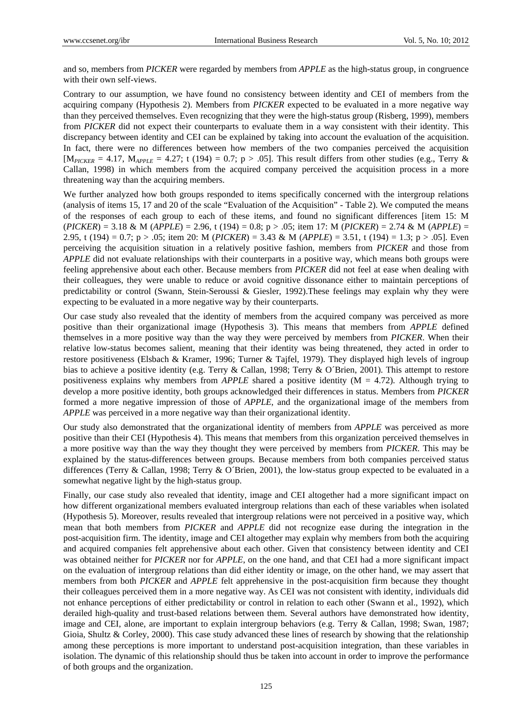and so, members from *PICKER* were regarded by members from *APPLE* as the high-status group, in congruence with their own self-views.

Contrary to our assumption, we have found no consistency between identity and CEI of members from the acquiring company (Hypothesis 2). Members from *PICKER* expected to be evaluated in a more negative way than they perceived themselves. Even recognizing that they were the high-status group (Risberg, 1999), members from *PICKER* did not expect their counterparts to evaluate them in a way consistent with their identity. This discrepancy between identity and CEI can be explained by taking into account the evaluation of the acquisition. In fact, there were no differences between how members of the two companies perceived the acquisition  $[M_{\text{PICKER}} = 4.17, M_{\text{APPLE}} = 4.27; t (194) = 0.7; p > .05$ . This result differs from other studies (e.g., Terry & Callan, 1998) in which members from the acquired company perceived the acquisition process in a more threatening way than the acquiring members.

We further analyzed how both groups responded to items specifically concerned with the intergroup relations (analysis of items 15, 17 and 20 of the scale "Evaluation of the Acquisition" - Table 2). We computed the means of the responses of each group to each of these items, and found no significant differences [item 15: M (*PICKER*) = 3.18 & M (*APPLE*) = 2.96, t (194) = 0.8; p > .05; item 17: M (*PICKER*) = 2.74 & M (*APPLE*) = 2.95, t (194) = 0.7; p > .05; item 20: M (*PICKER*) = 3.43 & M (*APPLE*) = 3.51, t (194) = 1.3; p > .05]. Even perceiving the acquisition situation in a relatively positive fashion, members from *PICKER* and those from *APPLE* did not evaluate relationships with their counterparts in a positive way, which means both groups were feeling apprehensive about each other. Because members from *PICKER* did not feel at ease when dealing with their colleagues, they were unable to reduce or avoid cognitive dissonance either to maintain perceptions of predictability or control (Swann, Stein-Seroussi & Giesler, 1992).These feelings may explain why they were expecting to be evaluated in a more negative way by their counterparts.

Our case study also revealed that the identity of members from the acquired company was perceived as more positive than their organizational image (Hypothesis 3). This means that members from *APPLE* defined themselves in a more positive way than the way they were perceived by members from *PICKER*. When their relative low-status becomes salient, meaning that their identity was being threatened, they acted in order to restore positiveness (Elsbach & Kramer, 1996; Turner & Tajfel, 1979). They displayed high levels of ingroup bias to achieve a positive identity (e.g. Terry & Callan, 1998; Terry & O´Brien, 2001). This attempt to restore positiveness explains why members from *APPLE* shared a positive identity (M = 4.72). Although trying to develop a more positive identity, both groups acknowledged their differences in status. Members from *PICKER* formed a more negative impression of those of *APPLE*, and the organizational image of the members from *APPLE* was perceived in a more negative way than their organizational identity.

Our study also demonstrated that the organizational identity of members from *APPLE* was perceived as more positive than their CEI (Hypothesis 4). This means that members from this organization perceived themselves in a more positive way than the way they thought they were perceived by members from *PICKER*. This may be explained by the status-differences between groups. Because members from both companies perceived status differences (Terry & Callan, 1998; Terry & O´Brien, 2001), the low-status group expected to be evaluated in a somewhat negative light by the high-status group.

Finally, our case study also revealed that identity, image and CEI altogether had a more significant impact on how different organizational members evaluated intergroup relations than each of these variables when isolated (Hypothesis 5). Moreover, results revealed that intergroup relations were not perceived in a positive way, which mean that both members from *PICKER* and *APPLE* did not recognize ease during the integration in the post-acquisition firm. The identity, image and CEI altogether may explain why members from both the acquiring and acquired companies felt apprehensive about each other. Given that consistency between identity and CEI was obtained neither for *PICKER* nor for *APPLE*, on the one hand, and that CEI had a more significant impact on the evaluation of intergroup relations than did either identity or image, on the other hand, we may assert that members from both *PICKER* and *APPLE* felt apprehensive in the post-acquisition firm because they thought their colleagues perceived them in a more negative way. As CEI was not consistent with identity, individuals did not enhance perceptions of either predictability or control in relation to each other (Swann et al., 1992), which derailed high-quality and trust-based relations between them. Several authors have demonstrated how identity, image and CEI, alone, are important to explain intergroup behaviors (e.g. Terry & Callan, 1998; Swan, 1987; Gioia, Shultz & Corley, 2000). This case study advanced these lines of research by showing that the relationship among these perceptions is more important to understand post-acquisition integration, than these variables in isolation. The dynamic of this relationship should thus be taken into account in order to improve the performance of both groups and the organization.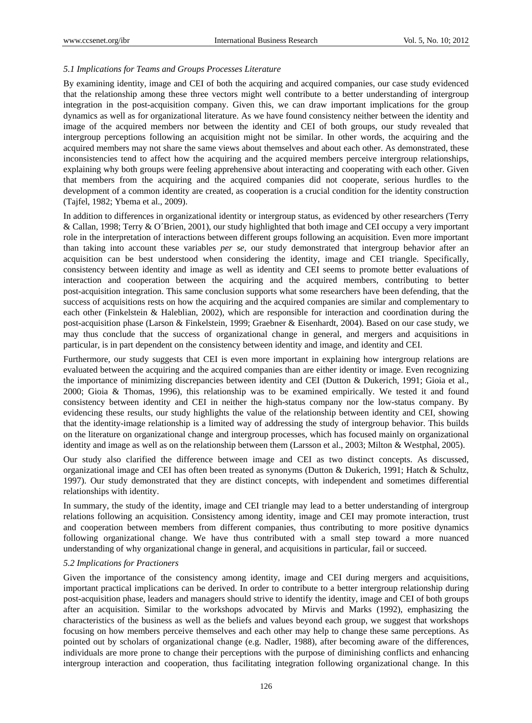# *5.1 Implications for Teams and Groups Processes Literature*

By examining identity, image and CEI of both the acquiring and acquired companies, our case study evidenced that the relationship among these three vectors might well contribute to a better understanding of intergroup integration in the post-acquisition company. Given this, we can draw important implications for the group dynamics as well as for organizational literature. As we have found consistency neither between the identity and image of the acquired members nor between the identity and CEI of both groups, our study revealed that intergroup perceptions following an acquisition might not be similar. In other words, the acquiring and the acquired members may not share the same views about themselves and about each other. As demonstrated, these inconsistencies tend to affect how the acquiring and the acquired members perceive intergroup relationships, explaining why both groups were feeling apprehensive about interacting and cooperating with each other. Given that members from the acquiring and the acquired companies did not cooperate, serious hurdles to the development of a common identity are created, as cooperation is a crucial condition for the identity construction (Tajfel, 1982; Ybema et al., 2009).

In addition to differences in organizational identity or intergroup status, as evidenced by other researchers (Terry & Callan, 1998; Terry & O´Brien, 2001), our study highlighted that both image and CEI occupy a very important role in the interpretation of interactions between different groups following an acquisition. Even more important than taking into account these variables *per se*, our study demonstrated that intergroup behavior after an acquisition can be best understood when considering the identity, image and CEI triangle. Specifically, consistency between identity and image as well as identity and CEI seems to promote better evaluations of interaction and cooperation between the acquiring and the acquired members, contributing to better post-acquisition integration. This same conclusion supports what some researchers have been defending, that the success of acquisitions rests on how the acquiring and the acquired companies are similar and complementary to each other (Finkelstein & Haleblian, 2002), which are responsible for interaction and coordination during the post-acquisition phase (Larson & Finkelstein, 1999; Graebner & Eisenhardt, 2004). Based on our case study, we may thus conclude that the success of organizational change in general, and mergers and acquisitions in particular, is in part dependent on the consistency between identity and image, and identity and CEI.

Furthermore, our study suggests that CEI is even more important in explaining how intergroup relations are evaluated between the acquiring and the acquired companies than are either identity or image. Even recognizing the importance of minimizing discrepancies between identity and CEI (Dutton & Dukerich, 1991; Gioia et al., 2000; Gioia & Thomas, 1996), this relationship was to be examined empirically. We tested it and found consistency between identity and CEI in neither the high-status company nor the low-status company. By evidencing these results, our study highlights the value of the relationship between identity and CEI, showing that the identity-image relationship is a limited way of addressing the study of intergroup behavior. This builds on the literature on organizational change and intergroup processes, which has focused mainly on organizational identity and image as well as on the relationship between them (Larsson et al., 2003; Milton & Westphal, 2005).

Our study also clarified the difference between image and CEI as two distinct concepts. As discussed, organizational image and CEI has often been treated as synonyms (Dutton & Dukerich, 1991; Hatch & Schultz, 1997). Our study demonstrated that they are distinct concepts, with independent and sometimes differential relationships with identity.

In summary, the study of the identity, image and CEI triangle may lead to a better understanding of intergroup relations following an acquisition. Consistency among identity, image and CEI may promote interaction, trust and cooperation between members from different companies, thus contributing to more positive dynamics following organizational change. We have thus contributed with a small step toward a more nuanced understanding of why organizational change in general, and acquisitions in particular, fail or succeed.

### *5.2 Implications for Practioners*

Given the importance of the consistency among identity, image and CEI during mergers and acquisitions, important practical implications can be derived. In order to contribute to a better intergroup relationship during post-acquisition phase, leaders and managers should strive to identify the identity, image and CEI of both groups after an acquisition. Similar to the workshops advocated by Mirvis and Marks (1992), emphasizing the characteristics of the business as well as the beliefs and values beyond each group, we suggest that workshops focusing on how members perceive themselves and each other may help to change these same perceptions. As pointed out by scholars of organizational change (e.g. Nadler, 1988), after becoming aware of the differences, individuals are more prone to change their perceptions with the purpose of diminishing conflicts and enhancing intergroup interaction and cooperation, thus facilitating integration following organizational change. In this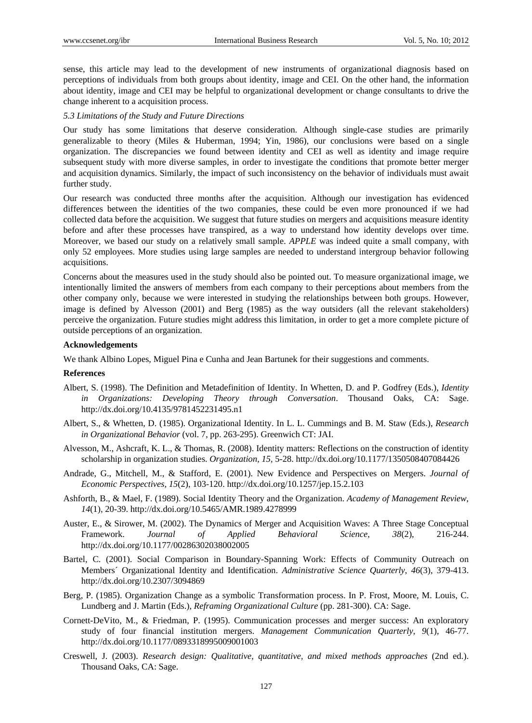sense, this article may lead to the development of new instruments of organizational diagnosis based on perceptions of individuals from both groups about identity, image and CEI. On the other hand, the information about identity, image and CEI may be helpful to organizational development or change consultants to drive the change inherent to a acquisition process.

### *5.3 Limitations of the Study and Future Directions*

Our study has some limitations that deserve consideration. Although single-case studies are primarily generalizable to theory (Miles & Huberman, 1994; Yin, 1986), our conclusions were based on a single organization. The discrepancies we found between identity and CEI as well as identity and image require subsequent study with more diverse samples, in order to investigate the conditions that promote better merger and acquisition dynamics. Similarly, the impact of such inconsistency on the behavior of individuals must await further study.

Our research was conducted three months after the acquisition. Although our investigation has evidenced differences between the identities of the two companies, these could be even more pronounced if we had collected data before the acquisition. We suggest that future studies on mergers and acquisitions measure identity before and after these processes have transpired, as a way to understand how identity develops over time. Moreover, we based our study on a relatively small sample. *APPLE* was indeed quite a small company, with only 52 employees. More studies using large samples are needed to understand intergroup behavior following acquisitions.

Concerns about the measures used in the study should also be pointed out. To measure organizational image, we intentionally limited the answers of members from each company to their perceptions about members from the other company only, because we were interested in studying the relationships between both groups. However, image is defined by Alvesson (2001) and Berg (1985) as the way outsiders (all the relevant stakeholders) perceive the organization. Future studies might address this limitation, in order to get a more complete picture of outside perceptions of an organization.

## **Acknowledgements**

We thank Albino Lopes, Miguel Pina e Cunha and Jean Bartunek for their suggestions and comments.

# **References**

- Albert, S. (1998). The Definition and Metadefinition of Identity. In Whetten, D. and P. Godfrey (Eds.), *Identity in Organizations: Developing Theory through Conversation*. Thousand Oaks, CA: Sage. http://dx.doi.org/10.4135/9781452231495.n1
- Albert, S., & Whetten, D. (1985). Organizational Identity. In L. L. Cummings and B. M. Staw (Eds.), *Research in Organizational Behavior* (vol. 7, pp. 263-295). Greenwich CT: JAI.
- Alvesson, M., Ashcraft, K. L., & Thomas, R. (2008). Identity matters: Reflections on the construction of identity scholarship in organization studies. *Organization*, *15*, 5-28. http://dx.doi.org/10.1177/1350508407084426
- Andrade, G., Mitchell, M., & Stafford, E. (2001). New Evidence and Perspectives on Mergers. *Journal of Economic Perspectives, 15*(2), 103-120. http://dx.doi.org/10.1257/jep.15.2.103
- Ashforth, B., & Mael, F. (1989). Social Identity Theory and the Organization. *Academy of Management Review*, *14*(1), 20-39. http://dx.doi.org/10.5465/AMR.1989.4278999
- Auster, E., & Sirower, M. (2002). The Dynamics of Merger and Acquisition Waves: A Three Stage Conceptual Framework. *Journal of Applied Behavioral Science*, *38*(2), 216-244. http://dx.doi.org/10.1177/00286302038002005
- Bartel, C. (2001). Social Comparison in Boundary-Spanning Work: Effects of Community Outreach on Members´ Organizational Identity and Identification. *Administrative Science Quarterly*, *46*(3), 379-413. http://dx.doi.org/10.2307/3094869
- Berg, P. (1985). Organization Change as a symbolic Transformation process. In P. Frost, Moore, M. Louis, C. Lundberg and J. Martin (Eds.), *Reframing Organizational Culture* (pp. 281-300). CA: Sage.
- Cornett-DeVito, M., & Friedman, P. (1995). Communication processes and merger success: An exploratory study of four financial institution mergers. *Management Communication Quarterly, 9*(1), 46-77. http://dx.doi.org/10.1177/0893318995009001003
- Creswell, J. (2003). *Research design: Qualitative, quantitative, and mixed methods approaches* (2nd ed.). Thousand Oaks, CA: Sage.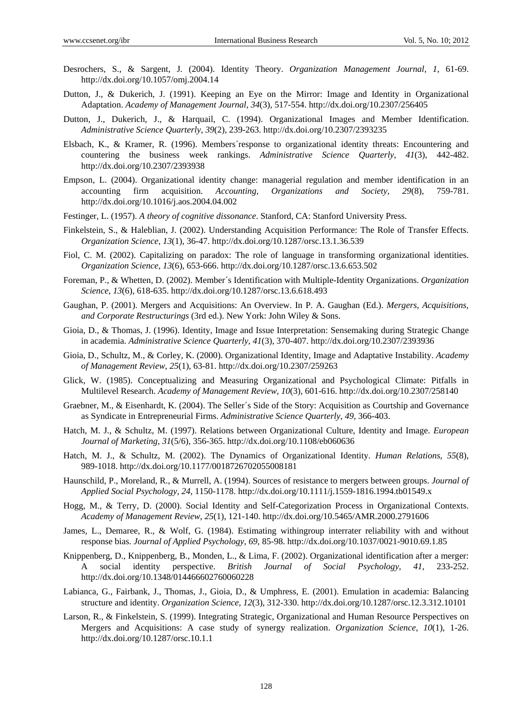- Desrochers, S., & Sargent, J. (2004). Identity Theory. *Organization Management Journal, 1*, 61-69. http://dx.doi.org/10.1057/omj.2004.14
- Dutton, J., & Dukerich, J. (1991). Keeping an Eye on the Mirror: Image and Identity in Organizational Adaptation. *Academy of Management Journal*, *34*(3), 517-554. http://dx.doi.org/10.2307/256405
- Dutton, J., Dukerich, J., & Harquail, C. (1994). Organizational Images and Member Identification. *Administrative Science Quarterly*, *39*(2), 239-263. http://dx.doi.org/10.2307/2393235
- Elsbach, K., & Kramer, R. (1996). Members´response to organizational identity threats: Encountering and countering the business week rankings. *Administrative Science Quarterly*, *41*(3), 442-482. http://dx.doi.org/10.2307/2393938
- Empson, L. (2004). Organizational identity change: managerial regulation and member identification in an accounting firm acquisition. *Accounting, Organizations and Society, 29*(8), 759-781. http://dx.doi.org/10.1016/j.aos.2004.04.002
- Festinger, L. (1957). *A theory of cognitive dissonance*. Stanford, CA: Stanford University Press.
- Finkelstein, S., & Haleblian, J. (2002). Understanding Acquisition Performance: The Role of Transfer Effects. *Organization Science*, *13*(1), 36-47. http://dx.doi.org/10.1287/orsc.13.1.36.539
- Fiol, C. M. (2002). Capitalizing on paradox: The role of language in transforming organizational identities. *Organization Science*, *13*(6), 653-666. http://dx.doi.org/10.1287/orsc.13.6.653.502
- Foreman, P., & Whetten, D. (2002). Member´s Identification with Multiple-Identity Organizations. *Organization Science*, *13*(6), 618-635. http://dx.doi.org/10.1287/orsc.13.6.618.493
- Gaughan, P. (2001). Mergers and Acquisitions: An Overview. In P. A. Gaughan (Ed.). *Mergers, Acquisitions, and Corporate Restructurings* (3rd ed.). New York: John Wiley & Sons.
- Gioia, D., & Thomas, J. (1996). Identity, Image and Issue Interpretation: Sensemaking during Strategic Change in academia. *Administrative Science Quarterly*, *41*(3), 370-407. http://dx.doi.org/10.2307/2393936
- Gioia, D., Schultz, M., & Corley, K. (2000). Organizational Identity, Image and Adaptative Instability. *Academy of Management Review*, *25*(1), 63-81. http://dx.doi.org/10.2307/259263
- Glick, W. (1985). Conceptualizing and Measuring Organizational and Psychological Climate: Pitfalls in Multilevel Research. *Academy of Management Review*, *10*(3), 601-616. http://dx.doi.org/10.2307/258140
- Graebner, M., & Eisenhardt, K. (2004). The Seller´s Side of the Story: Acquisition as Courtship and Governance as Syndicate in Entrepreneurial Firms. *Administrative Science Quarterly*, *49*, 366-403.
- Hatch, M. J., & Schultz, M. (1997). Relations between Organizational Culture, Identity and Image. *European Journal of Marketing*, *31*(5/6), 356-365. http://dx.doi.org/10.1108/eb060636
- Hatch, M. J., & Schultz, M. (2002). The Dynamics of Organizational Identity. *Human Relations*, *55*(8), 989-1018. http://dx.doi.org/10.1177/0018726702055008181
- Haunschild, P., Moreland, R., & Murrell, A. (1994). Sources of resistance to mergers between groups. *Journal of Applied Social Psychology, 24*, 1150-1178. http://dx.doi.org/10.1111/j.1559-1816.1994.tb01549.x
- Hogg, M., & Terry, D. (2000). Social Identity and Self-Categorization Process in Organizational Contexts. *Academy of Management Review*, *25*(1), 121-140. http://dx.doi.org/10.5465/AMR.2000.2791606
- James, L., Demaree, R., & Wolf, G. (1984). Estimating withingroup interrater reliability with and without response bias. *Journal of Applied Psychology, 69*, 85-98. http://dx.doi.org/10.1037/0021-9010.69.1.85
- Knippenberg, D., Knippenberg, B., Monden, L., & Lima, F. (2002). Organizational identification after a merger: A social identity perspective. *British Journal of Social Psychology, 41*, 233-252. http://dx.doi.org/10.1348/014466602760060228
- Labianca, G., Fairbank, J., Thomas, J., Gioia, D., & Umphress, E. (2001). Emulation in academia: Balancing structure and identity. *Organization Science, 12*(3), 312-330. http://dx.doi.org/10.1287/orsc.12.3.312.10101
- Larson, R., & Finkelstein, S. (1999). Integrating Strategic, Organizational and Human Resource Perspectives on Mergers and Acquisitions: A case study of synergy realization. *Organization Science, 10*(1), 1-26. http://dx.doi.org/10.1287/orsc.10.1.1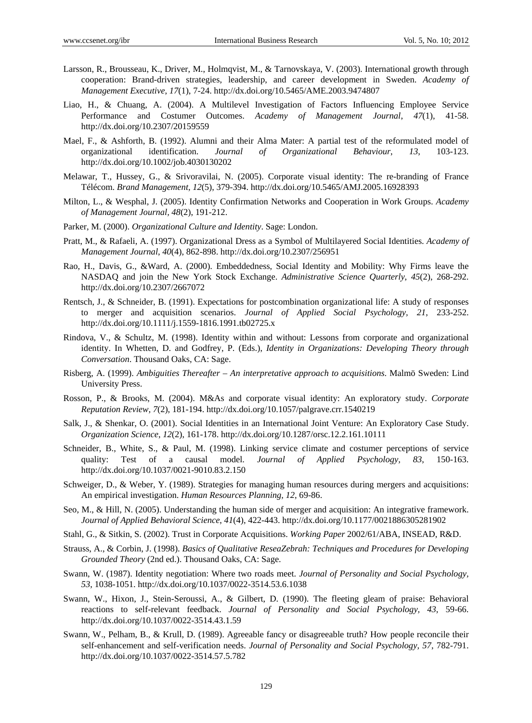- Larsson, R., Brousseau, K., Driver, M., Holmqvist, M., & Tarnovskaya, V. (2003). International growth through cooperation: Brand-driven strategies, leadership, and career development in Sweden. *Academy of Management Executive*, *17*(1), 7-24. http://dx.doi.org/10.5465/AME.2003.9474807
- Liao, H., & Chuang, A. (2004). A Multilevel Investigation of Factors Influencing Employee Service Performance and Costumer Outcomes. *Academy of Management Journal*, *47*(1), 41-58. http://dx.doi.org/10.2307/20159559
- Mael, F., & Ashforth, B. (1992). Alumni and their Alma Mater: A partial test of the reformulated model of organizational identification. *Journal of Organizational Behaviour*, *13*, 103-123. http://dx.doi.org/10.1002/job.4030130202
- Melawar, T., Hussey, G., & Srivoravilai, N. (2005). Corporate visual identity: The re-branding of France Télécom. *Brand Management, 12*(5), 379-394. http://dx.doi.org/10.5465/AMJ.2005.16928393
- Milton, L., & Wesphal, J. (2005). Identity Confirmation Networks and Cooperation in Work Groups. *Academy of Management Journal, 48*(2), 191-212.
- Parker, M. (2000). *Organizational Culture and Identity*. Sage: London.
- Pratt, M., & Rafaeli, A. (1997). Organizational Dress as a Symbol of Multilayered Social Identities. *Academy of Management Journal*, *40*(4), 862-898. http://dx.doi.org/10.2307/256951
- Rao, H., Davis, G., &Ward, A. (2000). Embeddedness, Social Identity and Mobility: Why Firms leave the NASDAQ and join the New York Stock Exchange. *Administrative Science Quarterly*, *45*(2), 268-292. http://dx.doi.org/10.2307/2667072
- Rentsch, J., & Schneider, B. (1991). Expectations for postcombination organizational life: A study of responses to merger and acquisition scenarios. *Journal of Applied Social Psychology, 21*, 233-252. http://dx.doi.org/10.1111/j.1559-1816.1991.tb02725.x
- Rindova, V., & Schultz, M. (1998). Identity within and without: Lessons from corporate and organizational identity. In Whetten, D. and Godfrey, P. (Eds.), *Identity in Organizations: Developing Theory through Conversation*. Thousand Oaks, CA: Sage.
- Risberg, A. (1999). *Ambiguities Thereafter An interpretative approach to acquisitions*. Malmö Sweden: Lind University Press.
- Rosson, P., & Brooks, M. (2004). M&As and corporate visual identity: An exploratory study. *Corporate Reputation Review, 7*(2), 181-194. http://dx.doi.org/10.1057/palgrave.crr.1540219
- Salk, J., & Shenkar, O. (2001). Social Identities in an International Joint Venture: An Exploratory Case Study. *Organization Science*, *12*(2), 161-178. http://dx.doi.org/10.1287/orsc.12.2.161.10111
- Schneider, B., White, S., & Paul, M. (1998). Linking service climate and costumer perceptions of service quality: Test of a causal model. *Journal of Applied Psychology, 83*, 150-163. http://dx.doi.org/10.1037/0021-9010.83.2.150
- Schweiger, D., & Weber, Y. (1989). Strategies for managing human resources during mergers and acquisitions: An empirical investigation. *Human Resources Planning, 12*, 69-86.
- Seo, M., & Hill, N. (2005). Understanding the human side of merger and acquisition: An integrative framework. *Journal of Applied Behavioral Science*, *41*(4), 422-443. http://dx.doi.org/10.1177/0021886305281902
- Stahl, G., & Sitkin, S. (2002). Trust in Corporate Acquisitions. *Working Paper* 2002/61/ABA, INSEAD, R&D.
- Strauss, A., & Corbin, J. (1998). *Basics of Qualitative ReseaZebrah: Techniques and Procedures for Developing Grounded Theory* (2nd ed.). Thousand Oaks, CA: Sage.
- Swann, W. (1987). Identity negotiation: Where two roads meet. *Journal of Personality and Social Psychology, 53*, 1038-1051. http://dx.doi.org/10.1037/0022-3514.53.6.1038
- Swann, W., Hixon, J., Stein-Seroussi, A., & Gilbert, D. (1990). The fleeting gleam of praise: Behavioral reactions to self-relevant feedback. *Journal of Personality and Social Psychology, 43*, 59-66. http://dx.doi.org/10.1037/0022-3514.43.1.59
- Swann, W., Pelham, B., & Krull, D. (1989). Agreeable fancy or disagreeable truth? How people reconcile their self-enhancement and self-verification needs. *Journal of Personality and Social Psychology, 57*, 782-791. http://dx.doi.org/10.1037/0022-3514.57.5.782